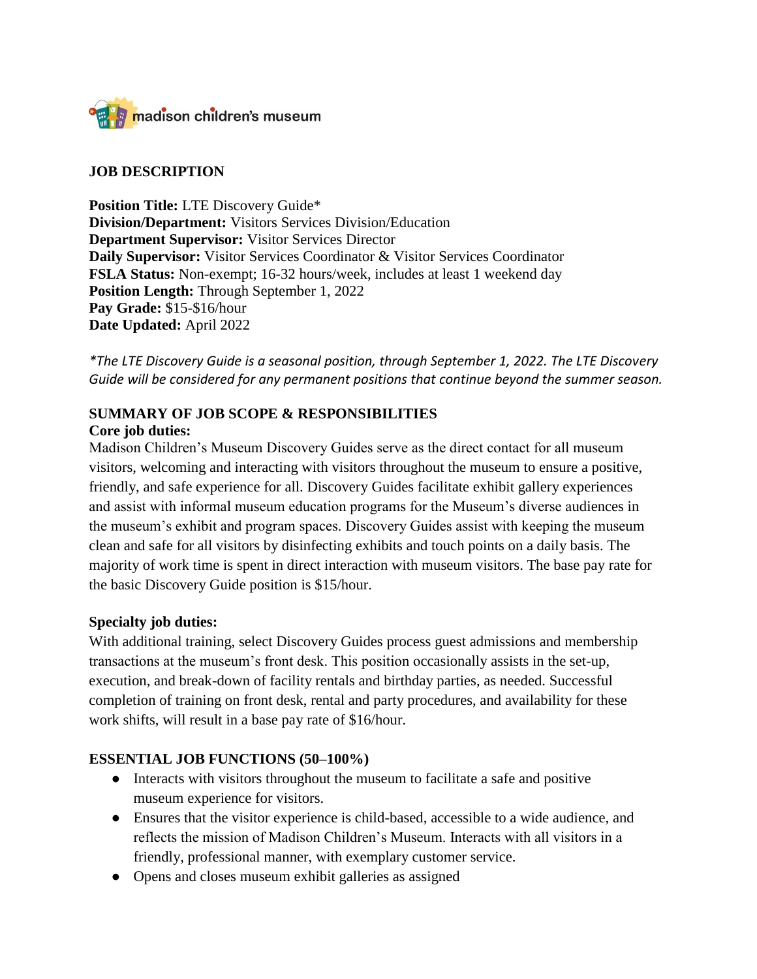

### **JOB DESCRIPTION**

**Position Title:** LTE Discovery Guide\* **Division/Department:** Visitors Services Division/Education **Department Supervisor:** Visitor Services Director **Daily Supervisor:** Visitor Services Coordinator & Visitor Services Coordinator **FSLA Status:** Non-exempt; 16-32 hours/week, includes at least 1 weekend day **Position Length:** Through September 1, 2022 **Pay Grade:** \$15-\$16/hour **Date Updated:** April 2022

*\*The LTE Discovery Guide is a seasonal position, through September 1, 2022. The LTE Discovery Guide will be considered for any permanent positions that continue beyond the summer season.* 

## **SUMMARY OF JOB SCOPE & RESPONSIBILITIES**

#### **Core job duties:**

Madison Children's Museum Discovery Guides serve as the direct contact for all museum visitors, welcoming and interacting with visitors throughout the museum to ensure a positive, friendly, and safe experience for all. Discovery Guides facilitate exhibit gallery experiences and assist with informal museum education programs for the Museum's diverse audiences in the museum's exhibit and program spaces. Discovery Guides assist with keeping the museum clean and safe for all visitors by disinfecting exhibits and touch points on a daily basis. The majority of work time is spent in direct interaction with museum visitors. The base pay rate for the basic Discovery Guide position is \$15/hour.

### **Specialty job duties:**

With additional training, select Discovery Guides process guest admissions and membership transactions at the museum's front desk. This position occasionally assists in the set-up, execution, and break-down of facility rentals and birthday parties, as needed. Successful completion of training on front desk, rental and party procedures, and availability for these work shifts, will result in a base pay rate of \$16/hour.

### **ESSENTIAL JOB FUNCTIONS (50–100%)**

- Interacts with visitors throughout the museum to facilitate a safe and positive museum experience for visitors.
- Ensures that the visitor experience is child-based, accessible to a wide audience, and reflects the mission of Madison Children's Museum. Interacts with all visitors in a friendly, professional manner, with exemplary customer service.
- Opens and closes museum exhibit galleries as assigned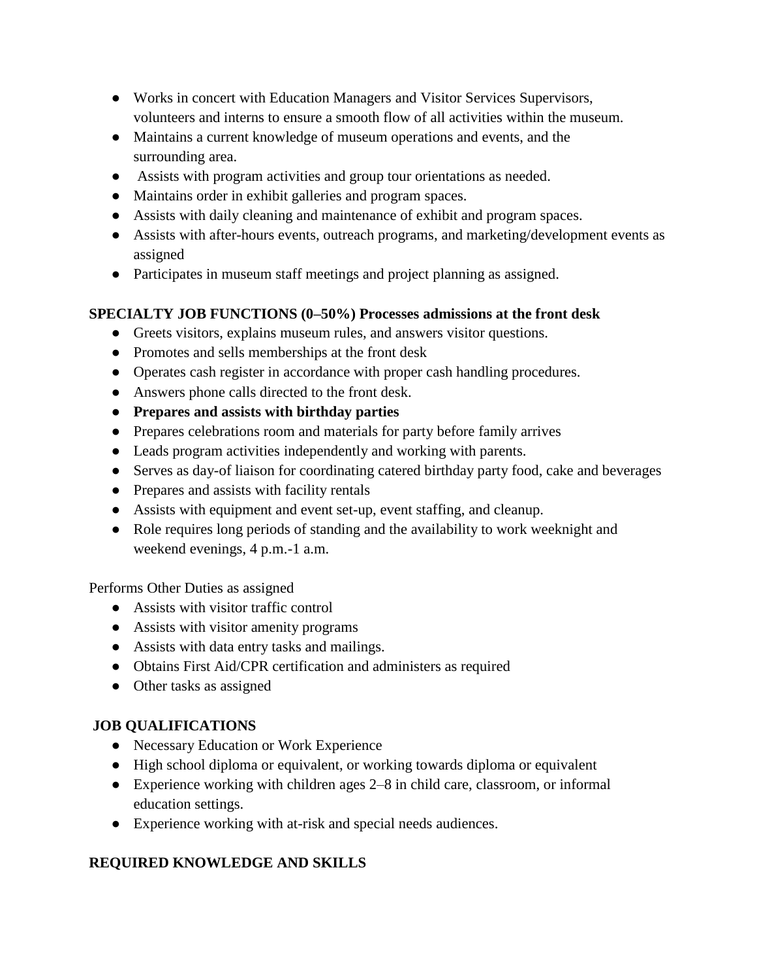- Works in concert with Education Managers and Visitor Services Supervisors, volunteers and interns to ensure a smooth flow of all activities within the museum.
- Maintains a current knowledge of museum operations and events, and the surrounding area.
- Assists with program activities and group tour orientations as needed.
- Maintains order in exhibit galleries and program spaces.
- Assists with daily cleaning and maintenance of exhibit and program spaces.
- Assists with after-hours events, outreach programs, and marketing/development events as assigned
- Participates in museum staff meetings and project planning as assigned.

## **SPECIALTY JOB FUNCTIONS (0–50%) Processes admissions at the front desk**

- Greets visitors, explains museum rules, and answers visitor questions.
- Promotes and sells memberships at the front desk
- Operates cash register in accordance with proper cash handling procedures.
- Answers phone calls directed to the front desk.
- **Prepares and assists with birthday parties**
- Prepares celebrations room and materials for party before family arrives
- Leads program activities independently and working with parents.
- Serves as day-of liaison for coordinating catered birthday party food, cake and beverages
- Prepares and assists with facility rentals
- Assists with equipment and event set-up, event staffing, and cleanup.
- Role requires long periods of standing and the availability to work weeknight and weekend evenings, 4 p.m.-1 a.m.

Performs Other Duties as assigned

- Assists with visitor traffic control
- Assists with visitor amenity programs
- Assists with data entry tasks and mailings.
- Obtains First Aid/CPR certification and administers as required
- Other tasks as assigned

# **JOB QUALIFICATIONS**

- Necessary Education or Work Experience
- High school diploma or equivalent, or working towards diploma or equivalent
- Experience working with children ages 2–8 in child care, classroom, or informal education settings.
- Experience working with at-risk and special needs audiences.

# **REQUIRED KNOWLEDGE AND SKILLS**